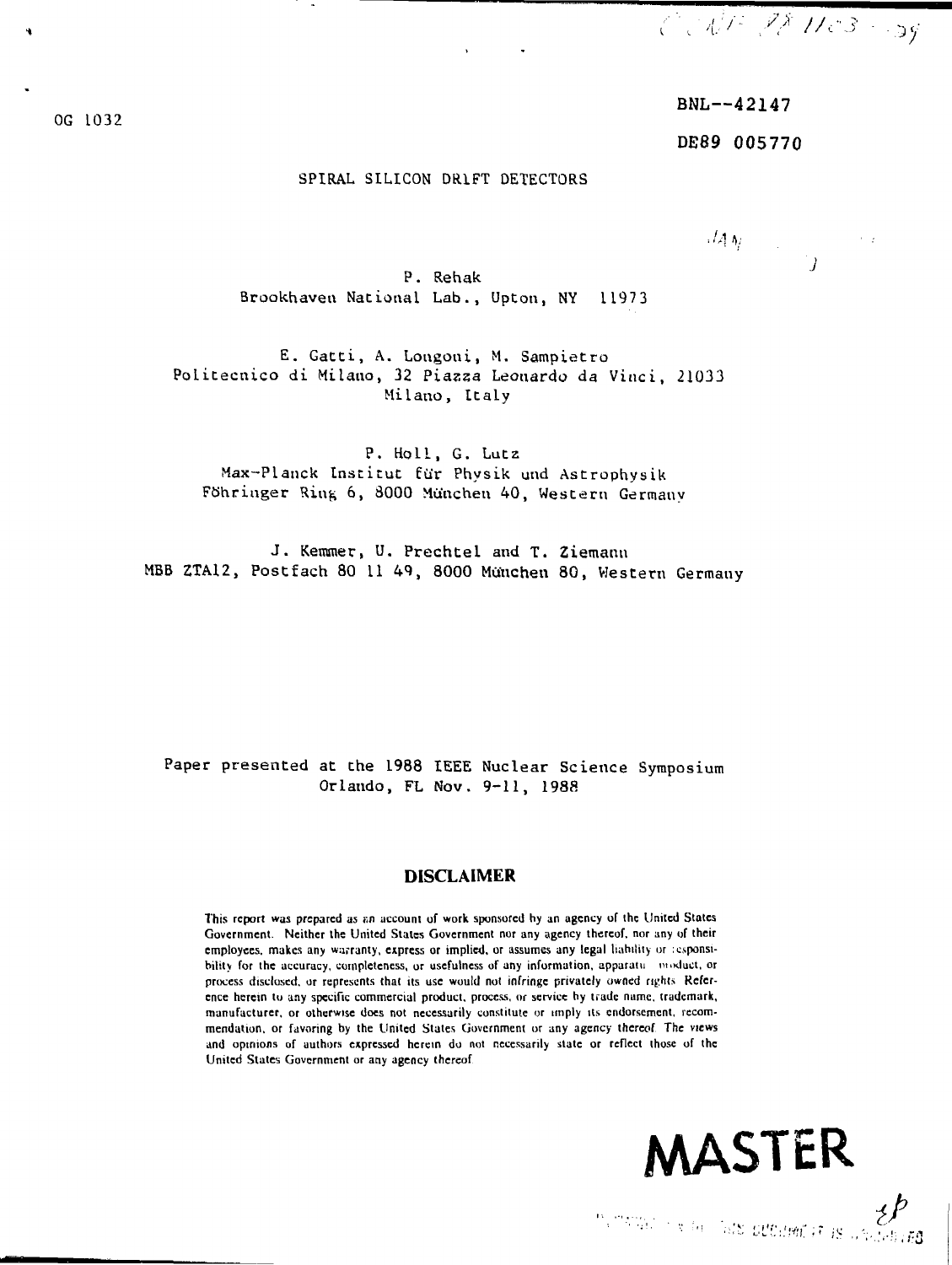BNL--42147

DE89 005770

## SPIRAL SILICON DRIFT DETECTORS

 $M_N$   $\frac{1}{2}$  $\alpha=\frac{1}{2}$ 

CONF P& 1103 - Sg

P. Rehak Brookhaven National Lab., Upton, NY 11973

E. Gatti, A. Longoni, M. Sampietro Policecnico di Milauo, 32 Piazza Leonardo da Vinci, 21033 Milano, Italy

P. Holl, G. Lutz Max-Planck Insticut fur Physik und Astrophysik Föhringer Ring 6, 3000 München 40, Western Germany

J. Kemmer, U. Prechtel and T. Ziemann MBB ZTA12, Postfach 80 11 49, 8000 Munchen 80, Western Germany

Paper presented at the 1988 IEEE Nuclear Science Symposium Orlando, FL Nov. 9-11, 1988

# **DISCLAIMER**

**This report was prepared as «n account of work sponsored by an agency of the United States Government. Neither the United Stales Government nor any agency thereof, nor any of their employees, makes any warranty, express or implied, or assumes any legal liability or icsponsi**bility for the accuracy, completeness, or usefulness of any information, apparatu moduct, or **process disclosed, or represents that its use would not infringe privately owned rights Reference herein to any specific commercial product, process, or service by trade name, trademark,** manufacturer, or otherwise does not necessarily constitute or imply its endorsement, recom**mendation, or favoring by the United States Government or any agency thereof The views and opinions of authors expressed herein do not necessarily state or reflect those of the United States Government or any agency thereof**



OG 1032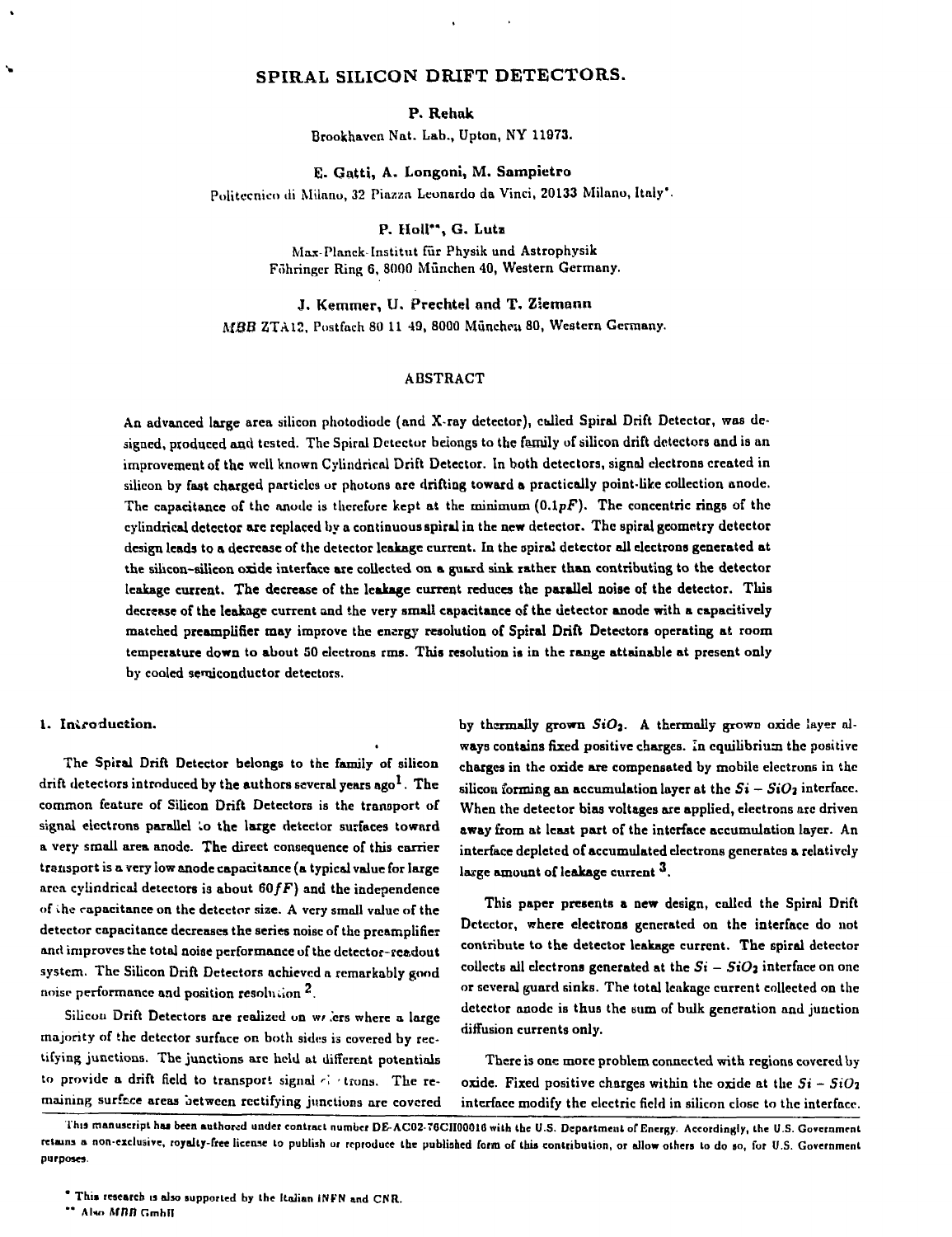# SPIRAL SILICON DRIFT DETECTORS.

**P. Rehok**

**Brookhaven Nat. Lab., Upton, NY 11973.**

**E. Gutti, A. Longoni, M. Sampietro Politecnico ili Milnno, 32 Piazza Leonardo da Vinci, 20133 Milano, Italy\*.**

**P. HQU" , G. Lutas**

**Max-Planck-tnstitut fur Physik und Astrophysik** Föhringer Ring 6, 8000 München 40, Western Germany.

**J. Kemmer, U. Prechtel and T. Ziemann** *MBB* **ZTA12, Pnstfach 80 U 49, 8000 Munchea 80, Western Gennany.**

#### **ABSTRACT**

An advanced large area silicon photodiode (and X-ray detector), called Spiral Drift Detector, was de**signed, produced and tested. The Spiral Detector belongs to the family of silicon drift detectors and ia an improvement of the well known Cylindrical Drift Detector. In both detectors, signal electrons created in silicon by fast charged particles ur photons arc drifting toward a practically point-like collection anode.** The capacitance of the anode is therefore kept at the minimum  $(0.1pF)$ . The concentric rings of the **cylindrical detector are replaced by a continuous spiral in the new detector. The spiral geometry detector design leads to a decrease of the detector leakage current. In the spiral detector all electrons generated at the sihcon-silicon oxide interface are collected on a guud sink rather than contributing to the detector leakage current. The decrease of the leakage current reduces the parallel noise of the detector. This decrease of the leakage current and the very small capacitance of the detector anode with a capacitively matched preamplifier may improve the energy resolution of Spiral Drift Detectors operating at room temperature down to about 50 electrons cms. This resolution is in the range attainable at present only by cooled semiconductor detectors.**

**drift detectors introduced by the authors several years ago<sup>1</sup>** signal electrons parallel to the large detector surfaces toward transport is a very low anode capacitance (a typical value for large **area cylindrical detectors is about 60/F) and the independence of ihe capacitance on the detector size. A very small value of the** detector capacitance decreases the series noise of the preamplifier **and improves the total noise performance of the detector-readout system. The Silicon Drift Detectors achieved a remarkably good noise performance and position resolution 2 .**

**Silicon Drift Detectors are realized un** *vtr* **.ers where a large** majority of the detector surface on both sides is covered by rec-<br>diffusion currents only. tifying junctions. The junctions are held at different potentials to provide a drift field to transport signal  $\leq$  trons. The re-

**1. Introduction. by thermally grown** *SiOj.* **A thermally grown oxide layer al- • ways contains fixed positive charges. In equilibrium the positive The Spiral Drift Detector belongs to the family of silicon charges in the oxide are compensated by mobile electrons in the**  $\sin$  silicom forming an accumulation layer at the  $Si - SiO<sub>2</sub>$  interface. **common feature of Silicon Drift Detectors is the transport of when the detector bias voltages are applied, electrons are driven** away from at least part of the interface accumulation layer. An **a very small area anode. The direct consequence of this carrier interface depleted of accumulated electrons generates a relatively 3 .**

> *I'lus paper presents a new design, called the Spiral Dri* **Detector, where electrons generated on the interface do notice** contribute to the detector leakage current. The spiral detector  **coUects \*" ^cctrons generated at the Si -** *SiOj* **interface on one o r severa l ^ a r d Bmks - Th e tota l lenfcllBe current collected on the** detector anode is thus the sum of bulk generation and junction

There is one more problem connected with regions covered by to provide a drift field to transport signal cintums. The re-<br>maining surface areas between rectifying junctions are covered interface modify the electric field in silicon close to the interface. interface modify the electric field in silicon close to the interface.

This manuscript has been authored under contract number DE-AC02-76CII00016 with the U.S. Department of Energy. Accordingly, the U.S. Goverament retains a non-exclusive, royalty-free license to publish or reproduce the published form of this contribution, or allow others to do so, for U.S. Government<br>purposes. **retain\* a non-exclusive, royally-dee license to publish oi reproduce the published form of this contribution, or allow others to do so, for U.S. Government**

**<sup>&#</sup>x27; This research is also supported by the Italian 1NFN and CNR.**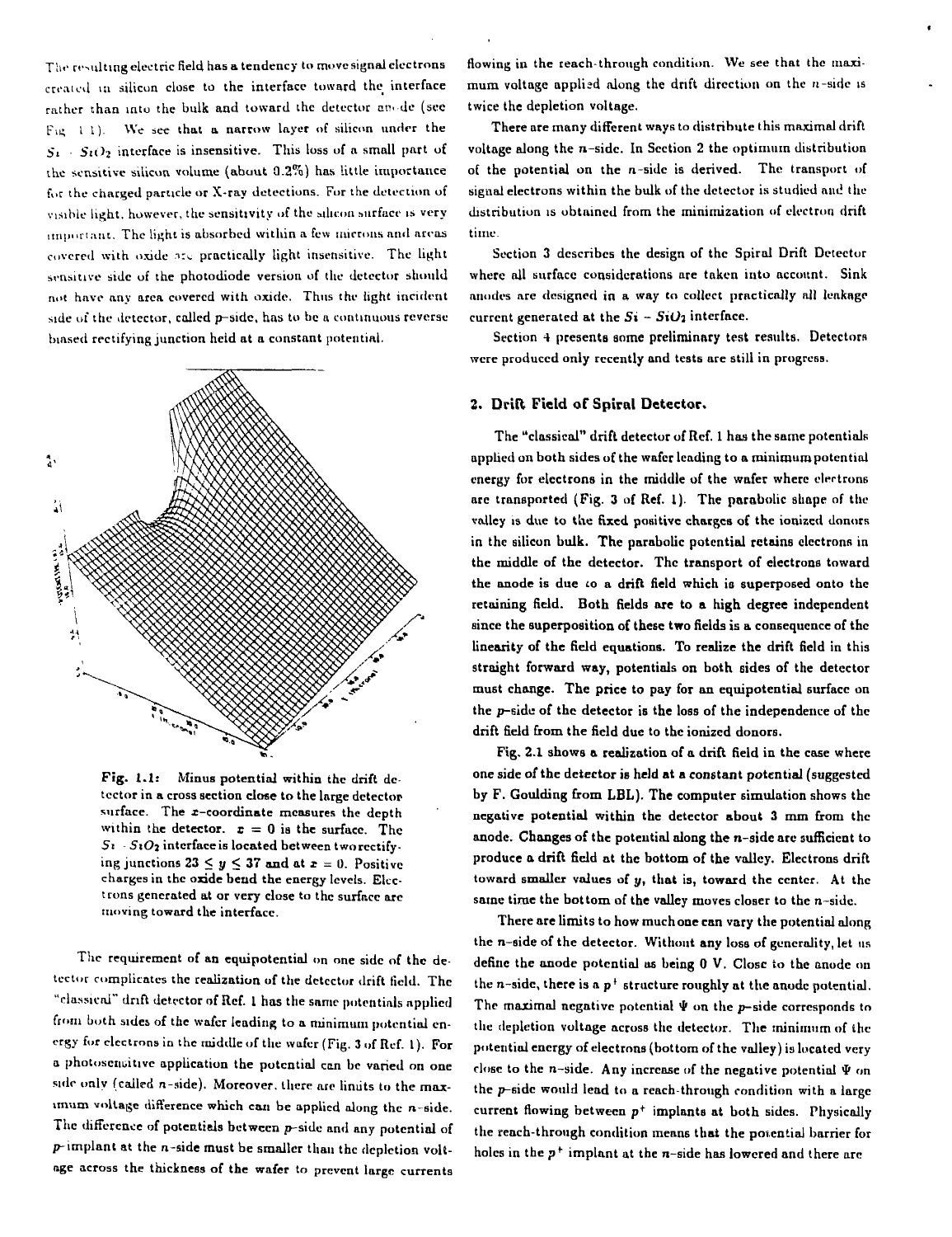The resulting electric field has a tendency to move signal electrons created in silicon close to the interface toward the interface rather than into the bulk and toward the detector an. de (see  $Fig$  (1). We see that a narrow layer of silicon under the  $5i - 5iO_2$  interface is insensitive. This loss of a small part of the sensitive silicon volume (about 0.2%) has little importance fur the charged particle or X-ray detections. Fur the detection of visible light, however, the sensitivity of the silicon surface is very important. The light is absorbed within a few microns and areas covered with oxide are practically light insensitive. The light sensitive side of the photodiode version of the detector should not have any area covered with oxide. Thus the light incident side of the detector, called p-side, has to be a continuous reverse biased rectifying junction held at a constant potential.



**Fig.** 1.1: Minus potential within the drift detector in a cross section close to the large detector surface. The x-coordinate measures the depth within the detector,  $x = 0$  is the surface. The  $5i - SiO<sub>2</sub>$  interface is located between two rectifying junctions  $23 \le y \le 37$  and at  $x = 0$ . Positive charges in the oxide beud the energy levels. Electrons generated at or very close to the surface are moving toward the interface.

The requirement of an equipotcntial on one side of the detector complicates the realization of the detector drift field. The "classical" drift detector of Ref. *I* has the same potentials applied from both sides of the wafer leading to a minimum potential energy for electrons in the middle of the wafer (Fig. 3 of Rcf. 1). For a photosensitive application the potential con be varied on one side only (called n-side). Moreover, there are limits to the maximum voltage difference which can be applied along the n-side. The difference of potentials between p-side and any potential of p-implant at the n-side must be smaller than the depletion voltage across the thickness of the wafer to prevent large currents flowing in the teach-through condition. We see that the maximum voltage applied along the drift direction on the  $n$ -side is twice the depletion voltage.

There are many different ways to distribute this maximal drift voltage along the n-sidc. In Section 2 the optimum distribution of the potential on the n-side is derived. The transport of signal electrons within the bulk of the detector is studied and the distribution is obtained from the minimization of electron drift time.

Section 3 describes the design of the Spiral Drift Detector where all surface considerations are taken into account. Sink anodes are designed in a way to collect practically all leakage current generated at the  $Si - SiO<sub>2</sub>$  interface.

Section 4 presents some preliminary test results. Detectors were produced only recently and tests are still in progress.

#### 2. Drift **Field of Spiral Detector.**

The "classical" drift detector of Ref. 1 has the same potentials applied on both sides of the wafer leading to a minimum potential energy for electrons in the middle of the wafer where electrons are transported (Fig. 3 of Ref. 1). The parabolic shape of the valley is due to the fixed positive charges of the ionized donors in the silicon bulk. The parabolic potential retains electrons in the middle of the detector. The transport of electrons toward the anode is due to a drift field which is superposed onto the retaining field. Both fields arc to a high degree independent since the superposition of these **two** fields is a consequence of the linearity of the field equations. To realize the drift field in this straight forward way, potentials on both sides of the detector must change. The price to pay for an equipotential surface on the p-side of the detector is the loss of the independence of the drift field from the field due to the ionized donors.

Fig. 2.1 shows a realization of a drift field in the case where one side of the detector is held at a constant potential (suggested by F. Goulding from LBL). The computer simulation shows the negative potential within the detector about 3 mm from the anode. Changes of the potential along the n-sidc arc sufficient to produce a drift field at the bottom of the valley. Electrons drift toward smaller values of *y,* that is, toward the center. At the same time the bottom of the valley moves closer to the n-side.

There **are** limits to how much one can vary the potential along the n-side of the detector. Without any loss of generality, let us define the anode potential us being 0 V. Close to the anode on the n-side, there is a  $p^+$  structure roughly at the anode potential. The maximal negative potential  $\Psi$  on the  $p$ -side corresponds to the depletion voltage across the detector. The minimum of the potential energy of electrons (bottom of the valley) is located very close to the *n*-side. Any increase of the negative potential  $\Psi$  on the p-side would lead to a reach-through condition with a large current flowing between  $p^+$  implants at both sides. Physically the reach-through condition means **that** the potential barrier for holes in the  $p^+$  implant at the n-side has lowered and there are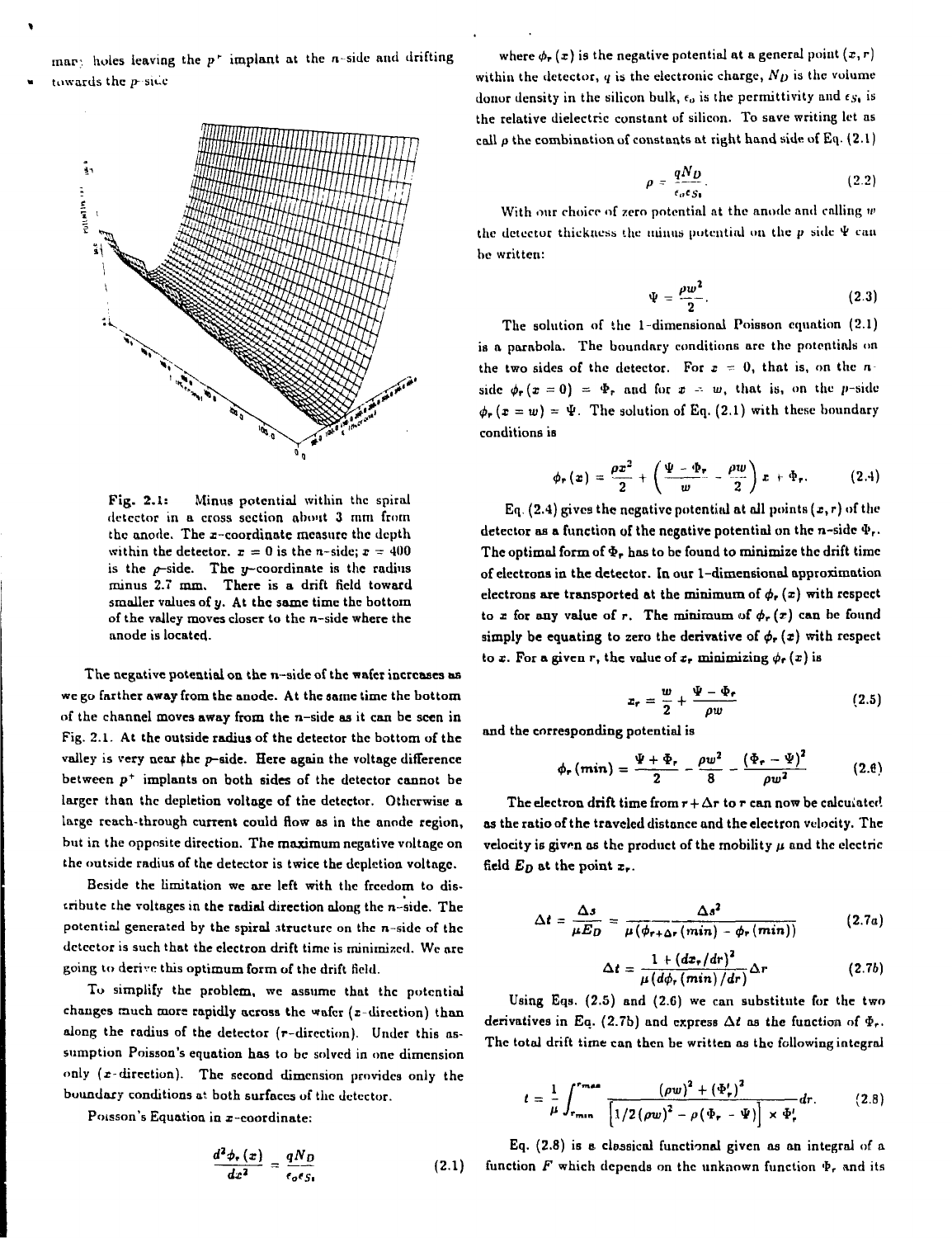**mar;, holes leaving the p" implant at the n-side and drifting** towards the *p*-side



**Fig. 2.1: Minus potential within the spiral detector in a cross section about 3 rum from** the anode. The *x*-coordinate measure the depth within the detector,  $x = 0$  is the *n*-side;  $x = 400$ is the  $\rho$ -side. The *y*-coordinate is the radius **minus 2.7 mm. There is a drift field toward smaller values of** *y.* **At the same time the bottom of the valley moves closer to the n-side where the anode is located.**

**The negative potential on the n-side of the wafer increases us we go farther away from the anode. At the same time the bottom of the channel moves away from the n-side as it can be seen in Fig. 2.1. At the outside radius of the detector the bottom of the** valley is very near the p-side. Here again the voltage difference **between** *p<sup>+</sup>*  **implants on both sides of the detector cannot be larger than the depletion voltage of the detector. Otherwise a large reach-through current could flow as in the anode region, but in the opposite direction. The maximum negative voltage on the outside radius of the detector is twice the depletion voltage.**

**Beside the limitation we ore left with the freedom to distribute the voltages in the radial direction along the n-side. The potential generated by the spiral structure on the n-sidc of the detector is such that the electron drift time is minimized. We are going to derive this optimum form of the drift field.**

**To simplify the problem, we assume that the potential** changes much more rapidly across the wafer (x-direction) than along the radius of the detector (r-direction). Under this as**sumption Poisson's equation has to be solved in one dimension only (x-direction). The second dimension prnvides only the boundary conditions at both surfaces of the detector.**

Poisson's Equation in x-coordinate:

$$
\frac{d^2\phi_r(x)}{dx^2} = \frac{qN_D}{\epsilon_o\epsilon_{S_1}}
$$
 (2.1)

where  $\phi_r\left(x\right)$  is the negative potential at a general point  $\left(x,r\right)$ **within the detector,** *q* **is the electronic charge,** *Np* **is the volume** donor density in the silicon bulk,  $\epsilon_a$  is the permittivity and  $\epsilon_{S_1}$  is **the relative dielectric constant of silicon. To save writing let as call** *p* **the combination of constants at right hand side of Eq. (2.1)**

$$
\rho = \frac{qN_D}{\epsilon_o \epsilon_{S_0}}.\tag{2.2}
$$

With our choice of zero potential at the anode and calling  $w$ the detector thickness the minus potential on the  $p$  side  $\Psi$  can **he written:**

$$
\Psi = \frac{\rho w^2}{2}.
$$
 (2.3)

**The solution of the 1-dimensional Poisson equation (2.1)** is a parabola. The boundary conditions are the potentials on the two sides of the detector. For  $x = 0$ , that is, on the n side  $\phi_r(x=0) = \Phi_r$  and for  $x = w$ , that is, on the *p*-side  $\phi_r$  ( $x = w$ ) =  $\Psi$ . The solution of Eq. (2.1) with these boundary **conditions is**

$$
\phi_{\mathbf{r}}(x) = \frac{\rho x^2}{2} + \left(\frac{\Psi - \Phi_{\mathbf{r}}}{w} - \frac{\rho w}{2}\right)x + \Phi_{\mathbf{r}}.
$$
 (2.4)

Eq.  $(2.4)$  gives the negative potential at all points  $(x, r)$  of the detector as a function of the negative potential on the n-side  $\Phi_r.$ **The optimal form of \$r has to be found to minimize the drift time of electrons in the detector. In our 1-dimensional approximation** electrons are transported at the minimum of  $\phi_r(x)$  with respect to x for any value of r. The minimum of  $\phi_r(x)$  can be found simply be equating to zero the derivative of  $\phi_r(x)$  with respect to x. For a given r, the value of  $x_r$  minimizing  $\phi_r(x)$  is

$$
x_r = \frac{w}{2} + \frac{\Psi - \Phi_r}{\rho w} \tag{2.5}
$$

**and the corresponding potential is**

$$
\phi_r\left(\min\right) = \frac{\Psi + \Phi_r}{2} - \frac{\rho w^2}{8} - \frac{(\Phi_r - \Psi)^2}{\rho w^2} \tag{2.6}
$$

The electron drift time from  $r + \Delta r$  to r can now be calculated **as the ratio of the traveled distance and the electron velocity. The** velocity is given as the product of the mobility  $\mu$  and the electric **field** *ED* **at the point xr.**

$$
\Delta t = \frac{\Delta s}{\mu E_D} = \frac{\Delta s^2}{\mu (\phi_{r+\Delta r}(min) - \phi_r(min))}
$$
(2.7a)

$$
\Delta t = \frac{1 + (dx_r/dr)^2}{\mu (d\phi_r (min)/dr)} \Delta r
$$
 (2.7*b*)

**Using Eqs. (2.5) and (2.G) we can substitute for the two** derivatives in Eq. (2.7b) and express  $\Delta t$  as the function of  $\Phi$ . **The total drift time can then be written as the following integral**

$$
t = \frac{1}{\mu} \int_{r_{\text{min}}}^{r_{\text{max}}} \frac{\left(\rho w\right)^2 + \left(\Phi_r'\right)^2}{\left[1/2\left(\rho w\right)^2 - \rho\left(\Phi_r - \Psi\right)\right] \times \Phi_r'} dr. \tag{2.8}
$$

**Eq. (2.8) is e. classical functional given as an integral of a function** *F* **which depends on the unknown function 'f>r >ind its**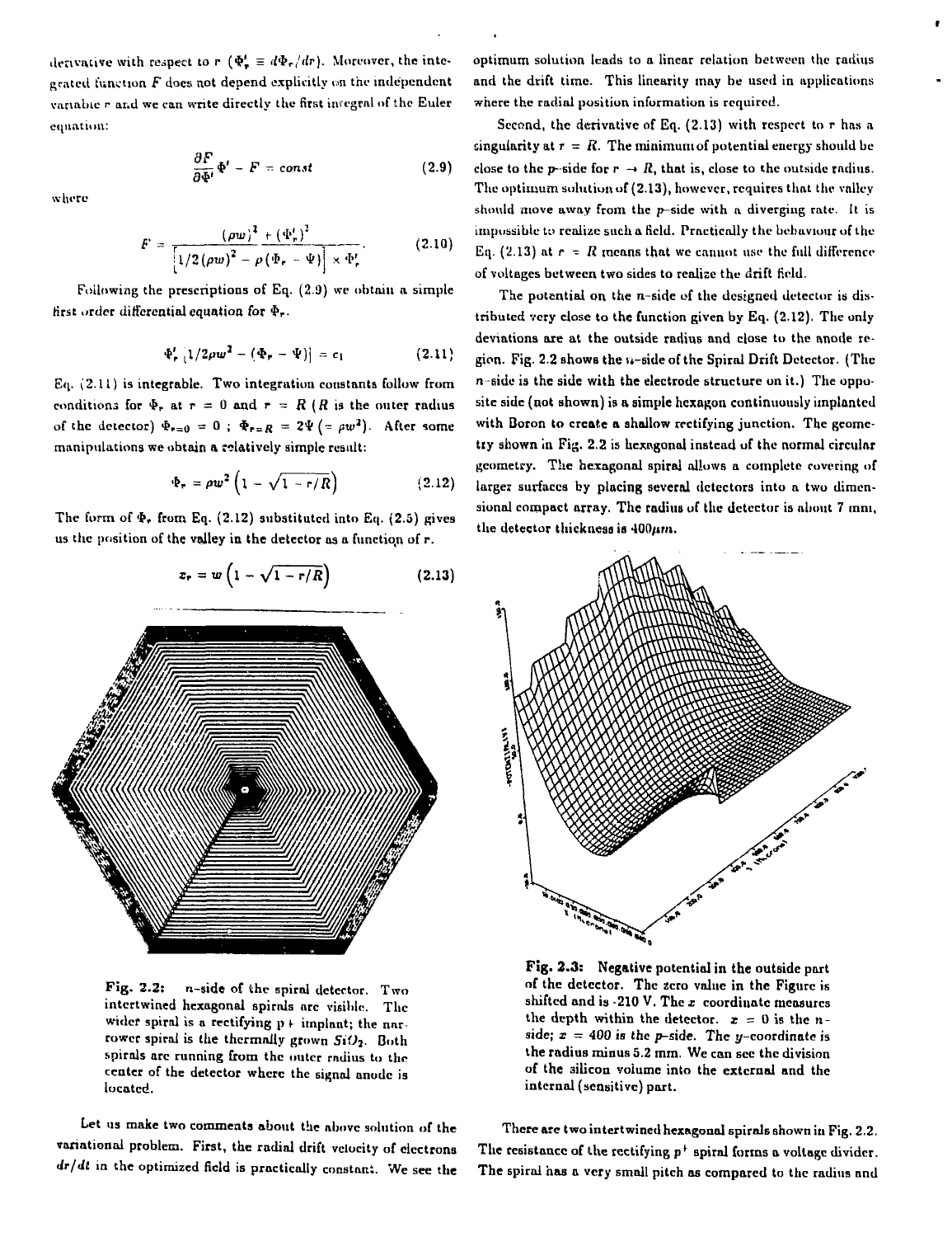derivative with respect to  $\mathbf{r}^{\top}(\mathbf{\Phi}_{\mathbf{r}}^{\prime}\equiv d\Phi_{\mathbf{r}}/dr).$  Moreover, the integrated function *F* does not depend explicitly on the independent variable r and we can write directly the first integral of the Euler **ei|iiatum:**

$$
\frac{\partial F}{\partial \Phi'} \Phi' - F = const \tag{2.9}
$$

where

$$
F = \frac{(\rho w)^2 + (\Phi_r^i)^2}{\left[1/2(\rho w)^2 - \rho(\Phi_r - \Psi)\right] \times \Phi_r^i}.
$$
 (2.10)

Following the prescriptions of Eq. (2.9) we obtain a simple first order differential equation for  $\Phi_r.$ 

$$
\Phi_{r}^{\prime}\left[1/2\rho w^{2}-(\Phi_{r}-\Psi)\right]=c_{1} \qquad (2.11)
$$

Eq. (2.11) is integrable. Two integration constants fullow from conditions for  $\Phi_r$  at  $r = 0$  and  $r = R$  (*R* is the outer radius of the detector)  $\Phi_{r=0} = 0$ ;  $\Phi_{r=R} = 2\Psi(-\rho w^2)$ . After some manipulations we obtain a relatively simple result:

$$
\Phi_r = \rho w^2 \left( 1 - \sqrt{1 - r/R} \right) \tag{2.12}
$$

The form of  $\Phi$ , from Eq. (2.12) substituted into Eq. (2.5) gives us the position of the valley in the detector as a function of r.



Fig. 2.2: n-side of the spiral detector. Two intertwined hexagonal spirals arc visible. The wider spiral is a rectifying  $p +$  implant; the narrower spiral is the thermally grown *SiOj.* Doth spirals are running from the outer radius to the center of the detector where the signal anode is located.

Let us make two comments about the above solution of the There are two intertwined hexagonal spirals shown in Fig. 2.2.<br>variational problem. First, the radial drift velocity of electrons The resistance of the rectifying p<sup></sup>

optimum solution leads to a linear relation between the radius and the drift time. This linearity may be used in applications where the radial position information is required.

Second, the derivative of Eq.  $(2.13)$  with respect to r has a singularity at  $r = R$ . The minimum of potential energy should be close to the *p*-side for  $r \rightarrow R$ , that is, close to the outside radius. The optimum solution of (2.13), however, requires that the valley should move away from the  $p$ -side with a diverging rate. It is impossible to realize such a field. Practically the behaviour of the Eq. (2.13) at  $r = R$  means that we cannot use the full difference of voltages between two sides to realize the drift field.

The potential on the n-side of the designed detector is distributed very close to the function given by Eq. (2.12). The only deviations are at the outside radius and close to the anode region. Fig. 2.2 shows the u-side of the Spiral Drift Detector. (The n-side is the side with the electrode structure on it.) The opposite side (not shown) is a simple hexagon continuously implanted with Boron to create a shallow rectifying junction. The geometry shown in Pig. 2.2 is hexngonol instead of the normal circular geometry. The hexagonal spiral allows a complete covering of larger surfaces by placing several detectors into a two dimensional compact array. The radius of the detector is about 7 mm, the detector thickness is 400 $\mu$ m.



**Fig.** 2.3: Negative potential in the outside part of the detector. The aero value in the Figure is shifted and is -210 V. The *x* coordinate measures the depth within the detector,  $x = 0$  is the nside;  $x = 400$  is the *p*-side. The *y*-coordinate is the radius minus 5.2 mm. We can sec the division of the silicon volume into the external and the internal (sensitive) part.

variational problem. First, the radial drift velocity of electrons The resistance of the rectifying  $p^+$  spiral forms a voltage divider.<br> $dr/dt$  in the optimized field is practically constant. We see the The spiral has a v The spiral has a very small pitch as compared to the radius and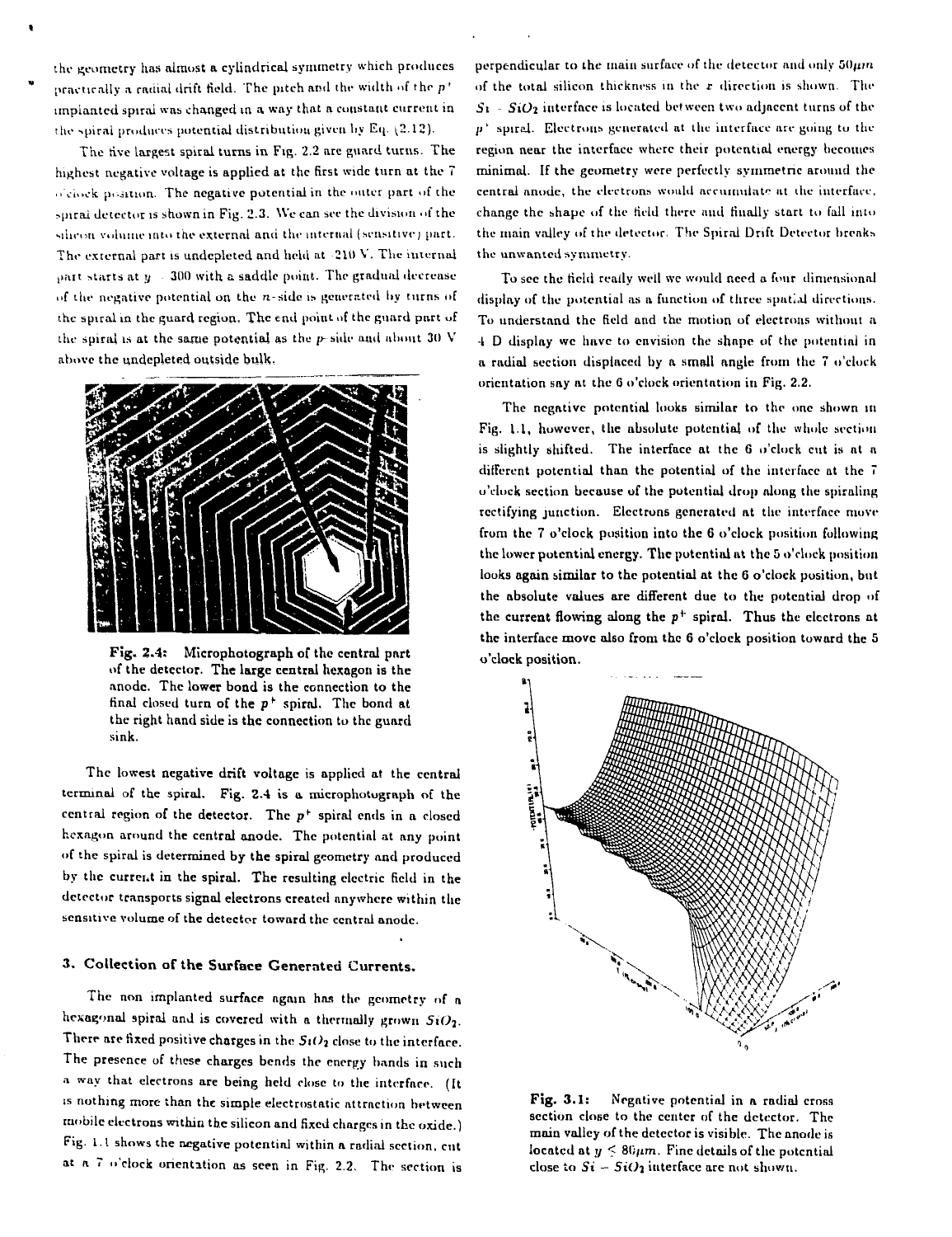the geometry has almost a cylindrical symmetry which produces practically a radial drift field. The pitch and the width of thr *p'* implanted spiral was changed in a way that a constant current in the spiral produces potential distribution given by Eq.  $(2.12)$ .

The five largest spiral turns in Fig. 2.2 are guard turns. The highest negative voltage is applied at the first wide turn at the 7 • •\.i..ck [n.jitiun. The negative potential in the miter part .if the spiral detector is shown in Fig. 2.3. We can see the division of the silicon volume into the external and the internal (sensitive) part. The external part is undepleted and held at 210 V. The internal part starts at  $y = 300$  with a saddle point. The gradual decrease of the negative potential on the  $n$ -side is generated by turns of the spiral in the guard region. The end point of the guard part uf the spiral is at the same potential as the *p-* side mid uliout 30 V above the undepleted outside bulk.



**Fig.** 2.4: Microphotograph of the central part of the detector. The large central hexagon is the anode. The lower bond is the connection to the final closed turn of the  $p^+$  spiral. The bond at the right hand side is the connection to the guard sink.

The lowest negative drift voltage is applied at the central terminal of the spiral. Fig. 2.4 is a microphotograph of the central region of the detector. The  $p^+$  spiral ends in a closed hexagon around the central anode. The potential at any point of the spiral is determined by the spiral geometry and produced by the current in the spiral. The resulting electric field in the detector transports signal electrons created anywhere within the sensitive volume of the detector toward the central anode.

#### **3. Collection of the Surface Generated Currents.**

The non implanted surface again has the geometry of a hexagonal spiral and is covered with a thermally grown  $SiO<sub>2</sub>$ . There are fixed positive charges in the  $S_1O_2$  close to the interface. The presence of these charges bends the energy bands in such a way that electrons are being held close to the interface. (It is nothing more than the simple electrostatic attraction hrtween mobile electrons within the silicon and fixed charges in the oxide.) Fig. 1.1 shows the negative potential within a radial section, cut at a T o'clock orientation as seen in Fig. 2.2. The section is perpendicular to the main surface of the detector and only  $50\mu m$ of the total silicon thickness in the r direction is shown The  $S_1$  -  $SiO_2$  interface is located between two adjacent turns of the  $p^*$  spiral. Electrons generated at the interface are going to the region near the interface where their potential energy becomes minimal. If the geometry were perfectly symmetric around the central anode, the electrons would accumulate ut the interface, change the shape of the field there and finally start to fall into the main valley of the detector. The Spiral Drift Detector breaks the unwanted symmetry.

To see the field really well we would need a four dimensional display of the potential as a function of three spatial directions. To understand the field and the motion of electrons without a  $4$  D display we have to envision the shape of the potential in a radial section displaced by a small angle from the 7 o'clock orientation say at the 6 o'clock orientation in Fig. 2.2.

The negative potential looks similar to the one shown in Fig. 1.1, however, the absolute potential of the whole section is slightly shifted. The interface at the 6 o'clock cut is at a different potential than the potential of the interface at the  $7$ o'clock section because of the potential drop along the spiraliug rectifying junction. Electrons generated at the interface move from the 7 o'clock position into the 6 o'clock position following the lower potential energy. The potential at the 5 o'clock position looks again similar to the potential at the 6 o'clock position, but the absolute values are different due to the potential drop of the current flowing along the  $p^+$  spiral. Thus the electrons at the interface move also from the 6 o'clock position toward the 5 o'clock position.



**Fig.** 3.1: Negative potential in a radial cross section close to the center of the detector. The main valley of the detector is visible. The anode is located at  $y \leq 80 \mu m$ . Fine details of the potential close to  $Si - SiO<sub>2</sub>$  interface are not shown.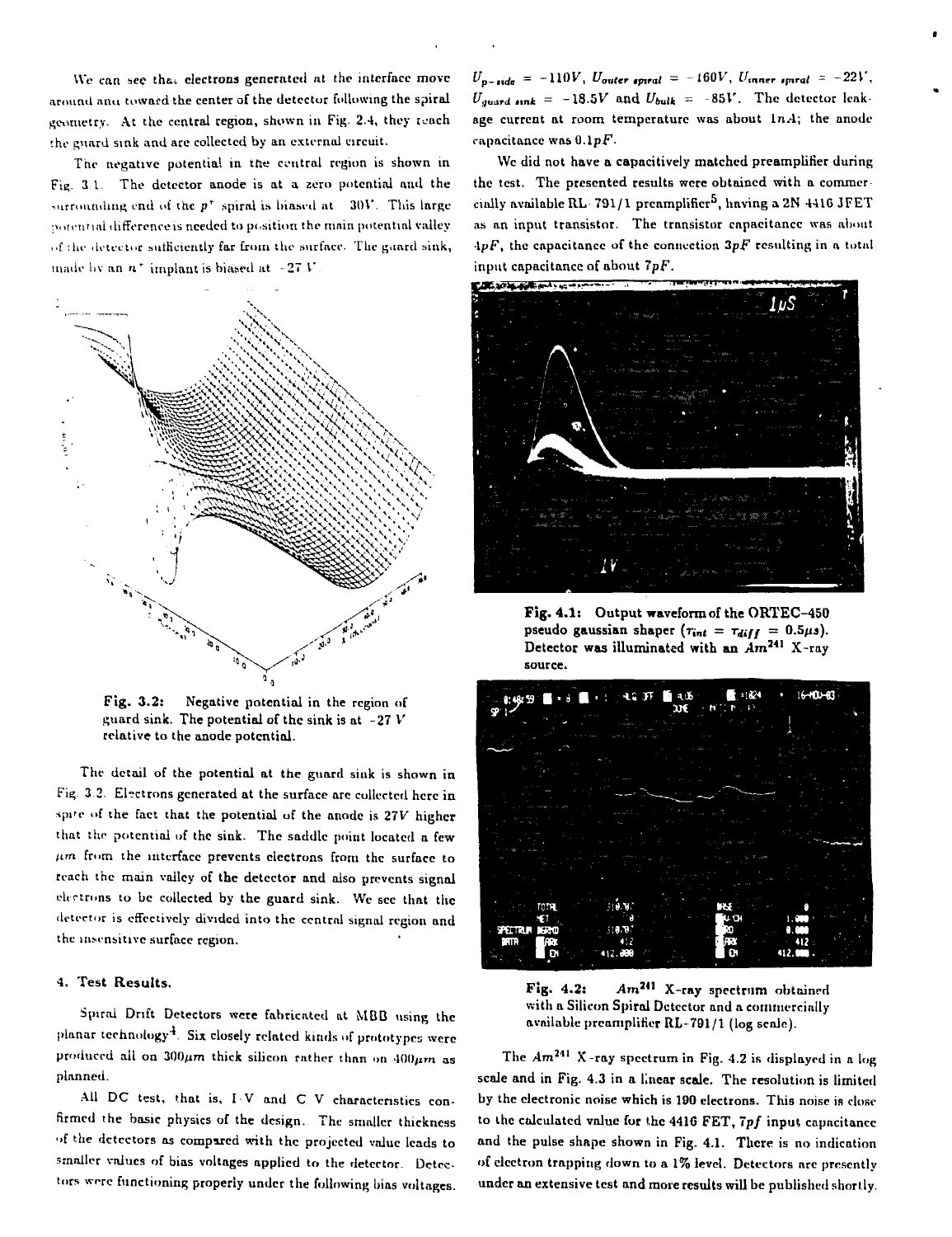We can see that electrons generated at the interface move around and toward the center of the detector following the spiral geometry. At the central region, shown in Fig. 2.4, they teach '.ho guard sink and are collected by an external circuit.

The negative potential in the central region is shown in Fig. 3.1. The detector anode is at a zero potential and the  $\frac{1}{2}$  urnining end of the  $p^+$  spiral is biased at  $-30V$ . This large potential difference is needed to position the main potential valley of the detector sufficiently far from the surface. The guard sink, made by an  $n^+$  implant is biased at  $-27$  V



Fig. 3.2: Negative potential in the region of guard sink. The potential of the sink is at  $-27$  V relative to the anode potential.

The detail of the potential at the guard sink is shown in Fig. 3.2. Electrons generated at the surface are collected here in spite of the fact that the potential of the anode is  $27V$  higher that the potential of the sink. The saddle point located a few *urn* from the interface prevents electrons from the surface to reach the main valley of the detector and also prevents signal electrons to be collected by the guard sink. We see that the detector is effectively divided into the central signal region and the insensitive surface region.

### 4. Test Results.

Spiral Drift Detectors were fabricated at MBD using the planar technology<sup>4</sup>. Six closely related kinds of prototypes were produced all on  $300\mu m$  thick silicon rather than on  $400\mu m$  as planned.

All DC test, that is, I V and C V characteristics confirmed the basic physics of the design. The smaller thickness •>f the detectors as compared with the projected value leads to smaller values of bias voltages applied to the detector. Detectors were functioning properly under the following bias voltages.  $U_{\text{p}-side} = -110V, U_{outer\ spiral} = -160V, U_{inner\ spiral} = -22V,$  $U_{quard \, m\ell} = -18.5V$  and  $U_{bulk} = -85V$ . The detector leakage current at room temperature was about  $ln A$ ; the anode capacitance was  $0.1pF$ .

We did not have **a** capacitively matched preamplifier during the test. The presented results were obtained with a commer cially available RL-791/1 preamplifier $^5$ , having a 2N 4416 JFET as an input transistor. The transistor capacitance was about *ApF,* the capacitance of the connection *3pF* resulting in a total input capacitance of about *7pF.*



**Fig. 4.1: Output waveform of the ORTEC-450**  $p$ seudo gaussian shaper ( $r_{int} = r_{diff} = 0.5 \mu s$ ). Detector was illuminated with an  $Am^{241}$  X-ray source



**Fig. 4.2:** *Am7il* **X-ray** spectrum obtained with a Silicon Spiral Detector and a commercially available preamplifier R.L-791/1 (log scale).

The  $Am^{241}$  X-ray spectrum in Fig. 4.2 is displayed in a log scale and in Fig. 4.3 in **a linear** scale. The resolution is limited by the electronic noise which is 190 electrons. This noise is close to the calculated value for the 4416 FET, 7pf input capacitance and the pulse shape shown in Fig. 4.1. There is no indication of electron trapping down to a 1% level. Detectors arc presently under an extensive test and more results will be published shortly.